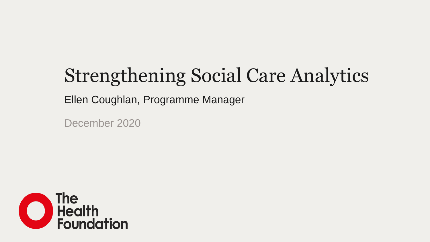# Strengthening Social Care Analytics

Ellen Coughlan, Programme Manager

December 2020

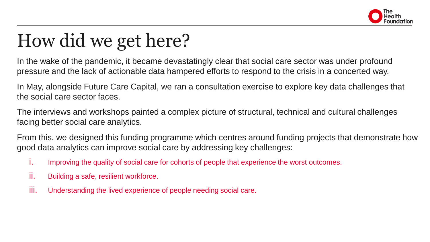

### How did we get here?

In the wake of the pandemic, it became devastatingly clear that social care sector was under profound pressure and the lack of actionable data hampered efforts to respond to the crisis in a concerted way.

In May, alongside Future Care Capital, we ran a consultation exercise to explore key data challenges that the social care sector faces.

The interviews and workshops painted a complex picture of structural, technical and cultural challenges facing better social care analytics.

From this, we designed this funding programme which centres around funding projects that demonstrate how good data analytics can improve social care by addressing key challenges:

- i. Improving the quality of social care for cohorts of people that experience the worst outcomes.
- ii. Building a safe, resilient workforce.
- iii. Understanding the lived experience of people needing social care.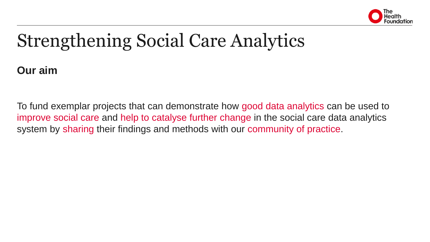

### Strengthening Social Care Analytics

**Our aim**

To fund exemplar projects that can demonstrate how good data analytics can be used to improve social care and help to catalyse further change in the social care data analytics system by sharing their findings and methods with our community of practice.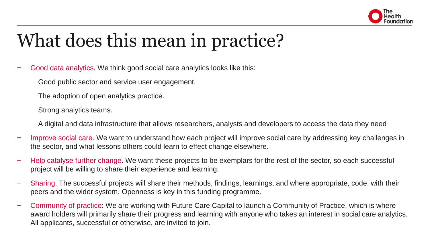

## What does this mean in practice?

− Good data analytics. We think good social care analytics looks like this:

Good public sector and service user engagement.

The adoption of open analytics practice.

Strong analytics teams.

A digital and data infrastructure that allows researchers, analysts and developers to access the data they need

- Improve social care. We want to understand how each project will improve social care by addressing key challenges in the sector, and what lessons others could learn to effect change elsewhere.
- Help catalyse further change. We want these projects to be exemplars for the rest of the sector, so each successful project will be willing to share their experience and learning.
- − Sharing. The successful projects will share their methods, findings, learnings, and where appropriate, code, with their peers and the wider system. Openness is key in this funding programme.
- − Community of practice: We are working with Future Care Capital to launch a Community of Practice, which is where award holders will primarily share their progress and learning with anyone who takes an interest in social care analytics. All applicants, successful or otherwise, are invited to join.